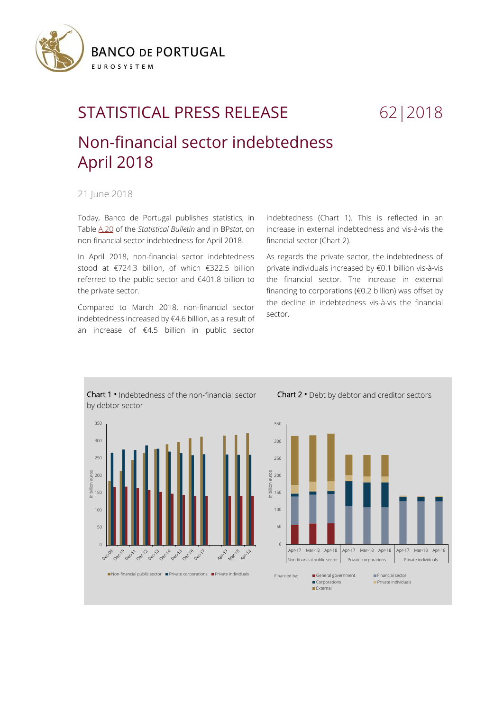

## STATISTICAL PRESS RELEASE 62 | 2018

## Non-financial sector indebtedness April 2018

21 June 2018

Today, Banco de Portugal publishes statistics, in Tabl[e A.20](https://www.bportugal.pt/sites/default/files/anexos/20-endividamento_setor_nao_financeiro_en.pdf) of the *Statistical Bulletin* and in BP*stat*, on non-financial sector indebtedness for April 2018.

In April 2018, non-financial sector indebtedness stood at €724.3 billion, of which €322.5 billion referred to the public sector and €401.8 billion to the private sector.

Compared to March 2018, non-financial sector indebtedness increased by €4.6 billion, as a result of an increase of €4.5 billion in public sector

indebtedness (Chart 1). This is reflected in an increase in external indebtedness and vis-à-vis the financial sector (Chart 2).

As regards the private sector, the indebtedness of private individuals increased by €0.1 billion vis-à-vis the financial sector. The increase in external financing to corporations (€0.2 billion) was offset by the decline in indebtedness vis-à-vis the financial sector.



Chart 2 **•** Debt by debtor and creditor sectors